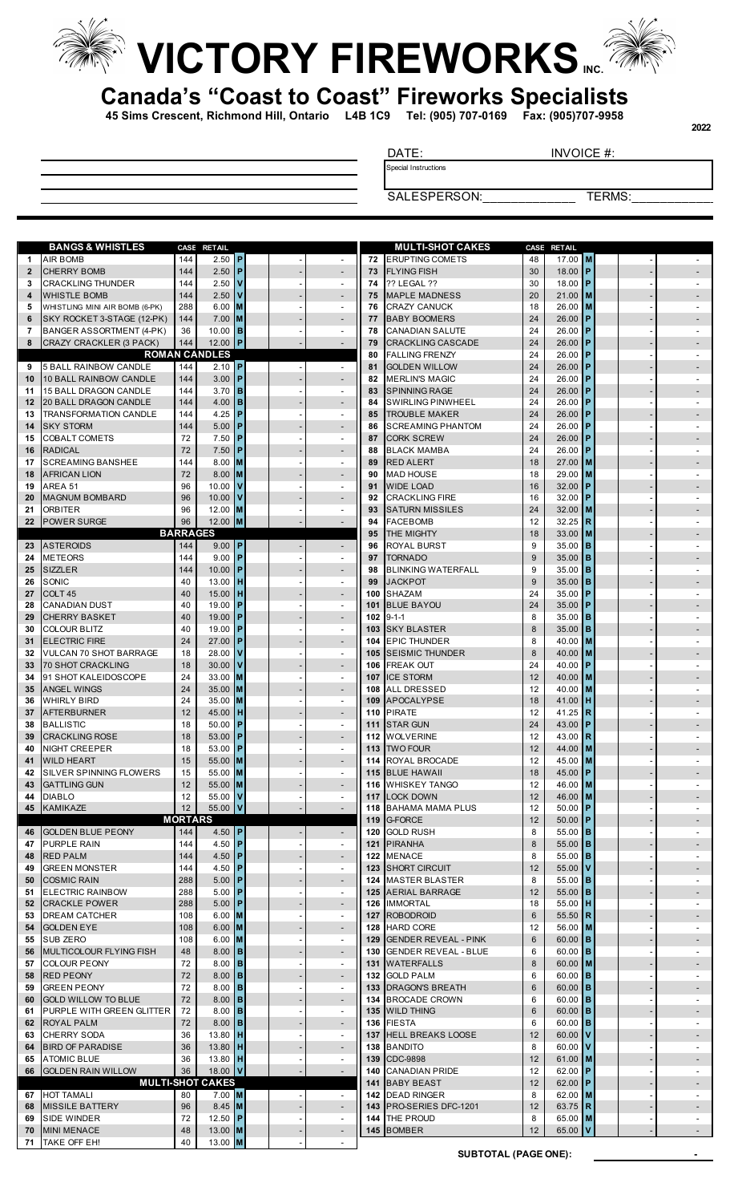

## **VICTORY FIREWORKS**



**45 Sims Crescent, Richmond Hill, Ontario L4B 1C9 Tel: (905) 707-0169 Fax: (905)707-9958**

DATE: INVOICE #:

Special Instructions

SALESPERSON: TERMS:

|                   | <b>BANGS &amp; WHISTLES</b>                                  |                 | CASE RETAIL             |                             |                |                                            |            | <b>MULTI-SHOT CAKES</b>                       | CASE     | <b>RETAIL</b>                 |  |        |
|-------------------|--------------------------------------------------------------|-----------------|-------------------------|-----------------------------|----------------|--------------------------------------------|------------|-----------------------------------------------|----------|-------------------------------|--|--------|
| 1                 | <b>AIR BOMB</b>                                              | 144             | 2.50                    | P                           |                | $\sim$                                     | 72         | <b>ERUPTING COMETS</b>                        | 48       | $17.00$ M                     |  |        |
| $\mathbf{2}$      | <b>CHERRY BOMB</b>                                           | 144             | 2.50                    | P                           |                | $\overline{\phantom{a}}$                   | 73         | <b>FLYING FISH</b>                            | 30       | 18.00 $P$                     |  |        |
| 3                 | <b>CRACKLING THUNDER</b>                                     | 144             | 2.50                    | v                           |                | $\sim$                                     | 74         | ?? LEGAL ??                                   | 30       | 18.00 $P$                     |  |        |
| 4                 | <b>WHISTLE BOMB</b>                                          | 144             | 2.50                    |                             |                | $\sim$                                     | 75         | <b>MAPLE MADNESS</b>                          | 20       | $21.00$ M                     |  |        |
| 5                 | WHISTLING MINI AIR BOMB (6-PK)<br>SKY ROCKET 3-STAGE (12-PK) | 288             | 6.00                    | M                           |                | $\blacksquare$                             | 76         | <b>CRAZY CANUCK</b>                           | 18       | $26.00$ M                     |  |        |
| 6<br>7            | BANGER ASSORTMENT (4-PK)                                     | 144<br>36       | 7.00<br>10.00           | <b>M</b><br>B               |                | $\sim$<br>$\sim$                           | 77<br>78   | <b>BABY BOOMERS</b><br><b>CANADIAN SALUTE</b> | 24<br>24 | $26.00$ P<br>$26.00$ P        |  |        |
| 8                 | CRAZY CRACKLER (3 PACK)                                      | 144             | 12.00                   | P                           |                |                                            | 79         | <b>CRACKLING CASCADE</b>                      | 24       | $26.00$ P                     |  |        |
|                   |                                                              |                 | <b>ROMAN CANDLES</b>    |                             |                |                                            | 80         | <b>FALLING FRENZY</b>                         | 24       | $26.00$ P                     |  |        |
| 9                 | <b>5 BALL RAINBOW CANDLE</b>                                 | 144             | 2.10                    | P                           |                | $\sim$                                     | 81         | <b>GOLDEN WILLOW</b>                          | 24       | $26.00$ P                     |  |        |
| 10                | <b>10 BALL RAINBOW CANDLE</b>                                | 144             | 3.00                    | P                           |                | $\overline{\phantom{a}}$                   | 82         | <b>MERLIN'S MAGIC</b>                         | 24       | $26.00$ P                     |  |        |
| 11                | 15 BALL DRAGON CANDLE                                        | 144             | 3.70                    | B                           |                | $\sim$                                     | 83         | <b>SPINNING RAGE</b>                          | 24       | $26.00$ P                     |  |        |
| 12                | 20 BALL DRAGON CANDLE                                        | 144             | 4.00                    | B                           |                | $\sim$                                     | 84         | <b>SWIRLING PINWHEEL</b>                      | 24       | $26.00$ P                     |  |        |
| 13                | <b>TRANSFORMATION CANDLE</b>                                 | 144             | 4.25                    | P                           |                | $\sim$                                     | 85         | <b>TROUBLE MAKER</b>                          | 24       | $26.00$ P                     |  |        |
| 14                | <b>SKY STORM</b>                                             | 144             | 5.00                    | P                           |                | $\sim$                                     | 86         | <b>SCREAMING PHANTOM</b>                      | 24       | $26.00$ P                     |  |        |
| 15                | <b>COBALT COMETS</b>                                         | 72              | 7.50                    | P                           |                | $\sim$                                     | 87         | <b>CORK SCREW</b>                             | 24       | $26.00$ P                     |  |        |
| 16                | <b>RADICAL</b>                                               | 72              | 7.50                    |                             |                | $\blacksquare$                             | 88         | <b>BLACK MAMBA</b>                            | 24       | $26.00$ P                     |  |        |
| 17                | <b>SCREAMING BANSHEE</b>                                     | 144             | 8.00                    | ΙM                          |                | $\sim$                                     | 89         | <b>RED ALERT</b>                              | 18       | $27.00$ M                     |  |        |
| 18<br>19          | <b>AFRICAN LION</b><br>AREA 51                               | 72<br>96        | 8.00<br>10.00           | Iм                          |                | $\sim$<br>$\blacksquare$                   | 90<br>91   | <b>MAD HOUSE</b><br><b>WIDE LOAD</b>          | 18<br>16 | 29.00 M<br>32.00 P            |  |        |
| 20                | <b>MAGNUM BOMBARD</b>                                        | 96              | 10.00                   |                             |                | $\sim$                                     | 92         | <b>CRACKLING FIRE</b>                         | 16       | $32.00$ P                     |  |        |
| 21                | <b>ORBITER</b>                                               | 96              | 12.00                   | <b>M</b>                    |                | $\sim$                                     | 93         | <b>SATURN MISSILES</b>                        | 24       | $32.00$ M                     |  |        |
| $22 \overline{ }$ | <b>POWER SURGE</b>                                           | 96              | 12.00                   | M                           |                |                                            | 94         | <b>FACEBOMB</b>                               | 12       | $32.25$ R                     |  |        |
|                   |                                                              | <b>BARRAGES</b> |                         |                             |                |                                            | 95         | THE MIGHTY                                    | 18       | $33.00$ M                     |  |        |
| 23                | <b>ASTEROIDS</b>                                             | 144             | 9.00                    | IP.                         |                |                                            | 96         | <b>ROYAL BURST</b>                            | 9        | $35.00$ B                     |  |        |
| 24                | <b>METEORS</b>                                               | 144             | 9.00                    | P                           |                | $\sim$                                     | 97         | <b>TORNADO</b>                                | 9        | $35.00$ B                     |  |        |
| 25                | <b>SIZZLER</b>                                               | 144             | 10.00                   | P                           |                | $\sim$                                     | 98         | <b>BLINKING WATERFALL</b>                     | 9        | $35.00$ B                     |  |        |
| 26                | SONIC                                                        | 40              | 13.00                   | н                           |                | $\sim$                                     | 99         | <b>JACKPOT</b>                                | 9        | $35.00$ B                     |  |        |
| 27                | COLT <sub>45</sub>                                           | 40              | 15.00                   |                             |                | $\overline{\phantom{a}}$                   | 100        | <b>SHAZAM</b>                                 | 24       | $35.00$ P                     |  |        |
| 28                | <b>CANADIAN DUST</b>                                         | 40              | 19.00                   | P                           |                | $\sim$                                     | 101        | <b>BLUE BAYOU</b>                             | 24       | 35.00 P                       |  |        |
| 29                | <b>CHERRY BASKET</b>                                         | 40              | 19.00                   |                             |                | $\sim$                                     | 102        | $9 - 1 - 1$                                   | 8        | $35.00$ B                     |  |        |
| 30                | <b>COLOUR BLITZ</b>                                          | 40              | 19.00                   | P                           |                | $\sim$                                     | 103        | <b>SKY BLASTER</b>                            | 8        | $35.00$ B                     |  |        |
| 31                | <b>ELECTRIC FIRE</b>                                         | 24              | 27.00                   | P                           |                | $\sim$                                     | 104        | <b>EPIC THUNDER</b>                           | 8        | 40.00 M                       |  |        |
| 32<br>33          | <b>VULCAN 70 SHOT BARRAGE</b><br><b>70 SHOT CRACKLING</b>    | 18<br>18        | 28.00<br>30.00          |                             |                | $\blacksquare$<br>$\overline{\phantom{a}}$ | 105<br>106 | <b>SEISMIC THUNDER</b><br><b>FREAK OUT</b>    | 8<br>24  | 40.00 M<br>40.00 $\mathsf{P}$ |  |        |
| 34                | 91 SHOT KALEIDOSCOPE                                         | 24              | 33.00                   | ΙM                          |                | $\sim$                                     | 107        | <b>ICE STORM</b>                              | 12       | $40.00$ M                     |  |        |
| 35                | <b>ANGEL WINGS</b>                                           | 24              | 35.00                   | Iм                          |                | $\sim$                                     | 108        | <b>ALL DRESSED</b>                            | 12       | 40.00 M                       |  |        |
| 36                | <b>WHIRLY BIRD</b>                                           | 24              | 35.00                   |                             |                | $\sim$                                     | 109        | <b>APOCALYPSE</b>                             | 18       | 41.00 $H$                     |  |        |
| 37                | <b>AFTERBURNER</b>                                           | 12              | 45.00                   | н                           |                | $\sim$                                     | 110        | <b>PIRATE</b>                                 | 12       | 41.25 R                       |  |        |
| 38                | <b>BALLISTIC</b>                                             | 18              | 50.00                   | P                           |                | $\blacksquare$                             | 111        | <b>STAR GUN</b>                               | 24       | 43.00 P                       |  |        |
| 39                | <b>CRACKLING ROSE</b>                                        | 18              | 53.00                   | P                           |                | $\blacksquare$                             | 112        | <b>WOLVERINE</b>                              | 12       | 43.00 $\overline{\mathbf{R}}$ |  |        |
| 40                | NIGHT CREEPER                                                | 18              | 53.00                   | P                           |                | $\sim$                                     | 113        | <b>TWO FOUR</b>                               | 12       | 44.00 M                       |  |        |
| 41                | <b>WILD HEART</b>                                            | 15              | 55.00 M                 |                             |                |                                            |            | 114 ROYAL BROCADE                             | 12       | 45.00 M                       |  |        |
| 42                | <b>SILVER SPINNING FLOWERS</b>                               | 15              | 55.00 M                 |                             |                |                                            |            | 115 BLUE HAWAII                               | 18       | 45.00 P                       |  |        |
| 43                | <b>GATTLING GUN</b>                                          | 12              | 55.00 M                 |                             |                |                                            |            | 116 WHISKEY TANGO                             | 12       | 46.00 M                       |  |        |
| 44                | <b>DIABLO</b><br>KAMIKAZE                                    | 12<br>12        | 55.00<br>55.00          | $\mathbf{v}$<br>$\mathbf v$ |                | $\sim$                                     |            | 117 LOCK DOWN                                 | 12<br>12 | 46.00 M                       |  |        |
| 45                |                                                              | <b>MORTARS</b>  |                         |                             |                |                                            |            | 118 BAHAMA MAMA PLUS<br>119 G-FORCE           | 12       | $50.00$ P<br>50.00   P        |  |        |
| 46                | <b>GOLDEN BLUE PEONY</b>                                     | 144             | $4.50$ P                |                             |                |                                            |            | 120 GOLD RUSH                                 | 8        | 55.00 $\overline{B}$          |  |        |
| 47                | <b>PURPLE RAIN</b>                                           | 144             | 4.50                    | P                           |                | $\sim$                                     | 121        | <b>PIRANHA</b>                                | 8        | 55.00 <b>B</b>                |  |        |
| 48                | <b>RED PALM</b>                                              | 144             | 4.50   <b>P</b>         |                             |                | $\sim$                                     |            | 122 MENACE                                    | 8        | $55.00$ B                     |  | $\sim$ |
| 49                | <b>GREEN MONSTER</b>                                         | 144             | 4.50                    | P                           |                | $\sim$                                     |            | 123 SHORT CIRCUIT                             | 12       | 55.00 V                       |  |        |
| 50                | <b>COSMIC RAIN</b>                                           | 288             | 5.00                    | P                           |                | $\sim$                                     |            | 124 MASTER BLASTER                            | 8        | $55.00$ B                     |  | $\sim$ |
| 51                | <b>ELECTRIC RAINBOW</b>                                      | 288             | 5.00                    | P                           |                | $\sim$                                     |            | 125 AERIAL BARRAGE                            | 12       | 55.00 <b>B</b>                |  |        |
|                   | 52 CRACKLE POWER                                             | 288             | 5.00                    | <b>P</b>                    |                | $\sim$                                     |            | 126 IMMORTAL                                  | 18       | $55.00$ H                     |  |        |
| 53                | <b>DREAM CATCHER</b>                                         | 108             | 6.00                    | <b>M</b>                    |                | $\sim$                                     |            | 127 ROBODROID                                 | 6        | 55.50 R                       |  |        |
| 54                | <b>GOLDEN EYE</b>                                            | 108             | $6.00$ M                |                             |                | $\sim$                                     |            | 128 HARD CORE                                 | 12       | 56.00 M                       |  | $\sim$ |
|                   | 55 SUB ZERO                                                  | 108             | $6.00$ M                |                             |                | $\sim$                                     |            | 129 GENDER REVEAL - PINK                      | 6        | 60.00 B                       |  |        |
| 56<br>57          | MULTICOLOUR FLYING FISH<br><b>COLOUR PEONY</b>               | 48<br>72        | 8.00<br>8.00            | B<br>B                      |                | $\sim$<br>$\sim$                           |            | 130 GENDER REVEAL - BLUE<br>131 WATERFALLS    | 6<br>8   | 60.00 $\vert$ B<br>60.00 M    |  | $\sim$ |
| 58                | <b>RED PEONY</b>                                             | 72              | 8.00                    | B                           |                | $\sim$                                     |            | 132 GOLD PALM                                 | 6        | 60.00 <b>B</b>                |  |        |
| 59                | <b>GREEN PEONY</b>                                           | 72              | 8.00                    | $\mathbf{B}$                |                | $\sim$                                     |            | 133 DRAGON'S BREATH                           | 6        | 60.00 <b>B</b>                |  |        |
|                   | 60 GOLD WILLOW TO BLUE                                       | 72              | 8.00                    | <b>B</b>                    |                | $\sim$                                     |            | 134 BROCADE CROWN                             | 6        | 60.00 $\vert$ B               |  | $\sim$ |
| 61                | <b>PURPLE WITH GREEN GLITTER</b>                             | 72              | 8.00                    | B                           |                | $\sim$                                     |            | 135 WILD THING                                | 6        | 60.00 B                       |  |        |
|                   | 62 ROYAL PALM                                                | 72              | 8.00                    | B                           |                | $\sim$                                     |            | 136 FIESTA                                    | 6        | 60.00 $\vert$ B               |  | $\sim$ |
| 63                | <b>CHERRY SODA</b>                                           | 36              | 13.80                   | н                           |                | $\sim$                                     |            | 137 HELL BREAKS LOOSE                         | 12       | 60.00 $V$                     |  |        |
| 64                | <b>BIRD OF PARADISE</b>                                      | 36              | $13.80$ H               |                             |                | $\sim$                                     |            | 138 BANDITO                                   | 8        | 60.00 $\vert$ V               |  |        |
| 65                | <b>ATOMIC BLUE</b>                                           | 36              | 13.80                   | H                           | $\overline{a}$ | $\sim$                                     | 139        | CDC-9898                                      | 12       | 61.00 M                       |  |        |
| 66                | <b>GOLDEN RAIN WILLOW</b>                                    | 36              | 18.00                   | V                           |                | $\sim$                                     |            | 140 CANADIAN PRIDE                            | 12       | 62.00   P                     |  | $\sim$ |
|                   |                                                              |                 | <b>MULTI-SHOT CAKES</b> |                             |                |                                            |            | 141 BABY BEAST                                | 12       | 62.00 P                       |  |        |
|                   | 67 HOT TAMALI                                                | 80              | $7.00$ M                |                             |                | $\sim$                                     |            | 142 DEAD RINGER                               | 8        | 62.00 M                       |  | $\sim$ |
|                   | <b>68 MISSILE BATTERY</b><br>69 SIDE WINDER                  | 96<br>72        | $8.45$ M<br>12.50 $ P $ |                             |                | $\sim$<br>$\sim$                           |            | 143 PRO-SERIES DFC-1201<br>144 THE PROUD      | 12<br>8  | 63.75 R<br>65.00 M            |  |        |
| 70                | <b>MINI MENACE</b>                                           | 48              | 13.00 $ M $             |                             |                | $\sim$                                     |            | 145 BOMBER                                    | 12       | 65.00 $V$                     |  |        |
|                   | 71 TAKE OFF EH!                                              | 40              | $13.00$ M               |                             |                |                                            |            |                                               |          |                               |  |        |